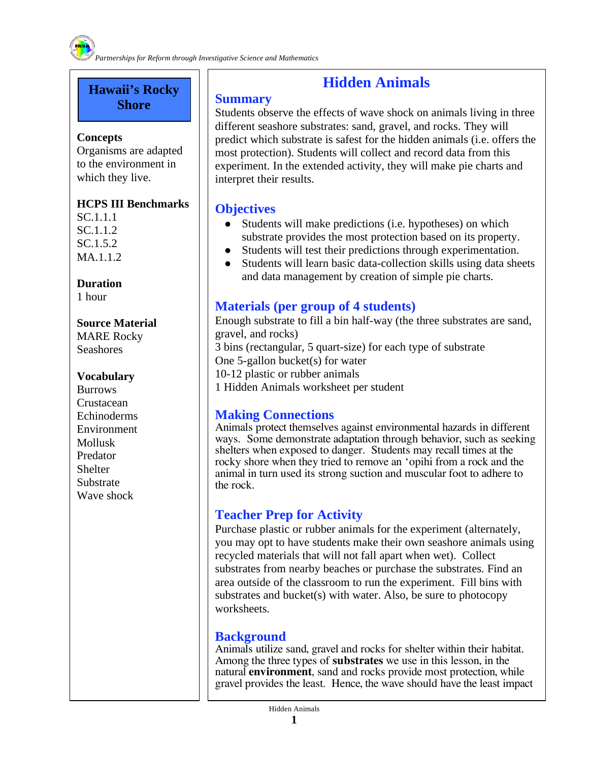#### **Hawaii's Rocky Shore**

#### **Concepts**

Organisms are adapted to the environment in which they live.

#### **HCPS III Benchmarks**

SC.1.1.1 SC.1.1.2 SC.1.5.2 MA.1.1.2

**Duration**  1 hour

#### **Source Material**

MARE Rocky Seashores

#### **Vocabulary**

**Burrows Crustacean** Echinoderms Environment Mollusk Predator **Shelter** Substrate Wave shock

### **Hidden Animals**

#### **Summary**

Students observe the effects of wave shock on animals living in three different seashore substrates: sand, gravel, and rocks. They will predict which substrate is safest for the hidden animals (i.e. offers the most protection). Students will collect and record data from this experiment. In the extended activity, they will make pie charts and interpret their results.

#### **Objectives**

- Students will make predictions (i.e. hypotheses) on which substrate provides the most protection based on its property.
- Students will test their predictions through experimentation.
- Students will learn basic data-collection skills using data sheets and data management by creation of simple pie charts.

#### **Materials (per group of 4 students)**

Enough substrate to fill a bin half-way (the three substrates are sand, gravel, and rocks) 3 bins (rectangular, 5 quart-size) for each type of substrate One 5-gallon bucket(s) for water 10-12 plastic or rubber animals 1 Hidden Animals worksheet per student

#### **Making Connections**

Animals protect themselves against environmental hazards in different ways. Some demonstrate adaptation through behavior, such as seeking shelters when exposed to danger. Students may recall times at the rocky shore when they tried to remove an 'opihi from a rock and the animal in turn used its strong suction and muscular foot to adhere to the rock.

#### **Teacher Prep for Activity**

Purchase plastic or rubber animals for the experiment (alternately, you may opt to have students make their own seashore animals using recycled materials that will not fall apart when wet). Collect substrates from nearby beaches or purchase the substrates. Find an area outside of the classroom to run the experiment. Fill bins with substrates and bucket(s) with water. Also, be sure to photocopy worksheets.

#### **Background**

Animals utilize sand, gravel and rocks for shelter within their habitat. Among the three types of **substrates** we use in this lesson, in the natural **environment**, sand and rocks provide most protection, while gravel provides the least. Hence, the wave should have the least impact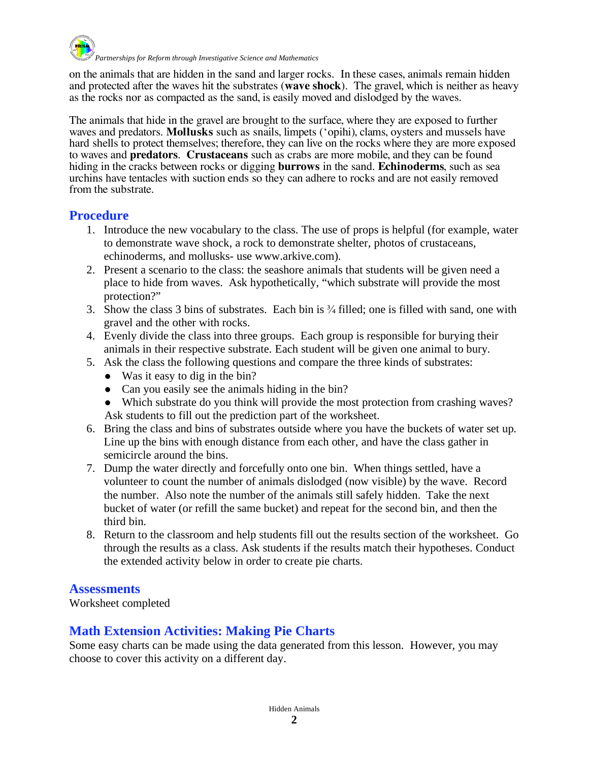

*Partnerships for Reform through Investigative Science and Mathematics* 

on the animals that are hidden in the sand and larger rocks. In these cases, animals remain hidden and protected after the waves hit the substrates (**wave shock**). The gravel, which is neither as heavy as the rocks nor as compacted as the sand, is easily moved and dislodged by the waves.

The animals that hide in the gravel are brought to the surface, where they are exposed to further waves and predators. **Mollusks** such as snails, limpets ('opihi), clams, oysters and mussels have hard shells to protect themselves; therefore, they can live on the rocks where they are more exposed to waves and **predators**. **Crustaceans** such as crabs are more mobile, and they can be found hiding in the cracks between rocks or digging **burrows** in the sand. **Echinoderms**, such as sea urchins have tentacles with suction ends so they can adhere to rocks and are not easily removed from the substrate.

#### **Procedure**

- 1. Introduce the new vocabulary to the class. The use of props is helpful (for example, water to demonstrate wave shock, a rock to demonstrate shelter, photos of crustaceans, echinoderms, and mollusks- use www.arkive.com).
- 2. Present a scenario to the class: the seashore animals that students will be given need a place to hide from waves. Ask hypothetically, "which substrate will provide the most protection?"
- 3. Show the class 3 bins of substrates. Each bin is  $\frac{3}{4}$  filled; one is filled with sand, one with gravel and the other with rocks.
- 4. Evenly divide the class into three groups. Each group is responsible for burying their animals in their respective substrate. Each student will be given one animal to bury.
- 5. Ask the class the following questions and compare the three kinds of substrates:
	- Was it easy to dig in the bin?
	- Can you easily see the animals hiding in the bin?
	- Which substrate do you think will provide the most protection from crashing waves? Ask students to fill out the prediction part of the worksheet.
- 6. Bring the class and bins of substrates outside where you have the buckets of water set up. Line up the bins with enough distance from each other, and have the class gather in semicircle around the bins.
- 7. Dump the water directly and forcefully onto one bin. When things settled, have a volunteer to count the number of animals dislodged (now visible) by the wave. Record the number. Also note the number of the animals still safely hidden. Take the next bucket of water (or refill the same bucket) and repeat for the second bin, and then the third bin.
- 8. Return to the classroom and help students fill out the results section of the worksheet. Go through the results as a class. Ask students if the results match their hypotheses. Conduct the extended activity below in order to create pie charts.

#### **Assessments**

Worksheet completed

#### **Math Extension Activities: Making Pie Charts**

Some easy charts can be made using the data generated from this lesson. However, you may choose to cover this activity on a different day.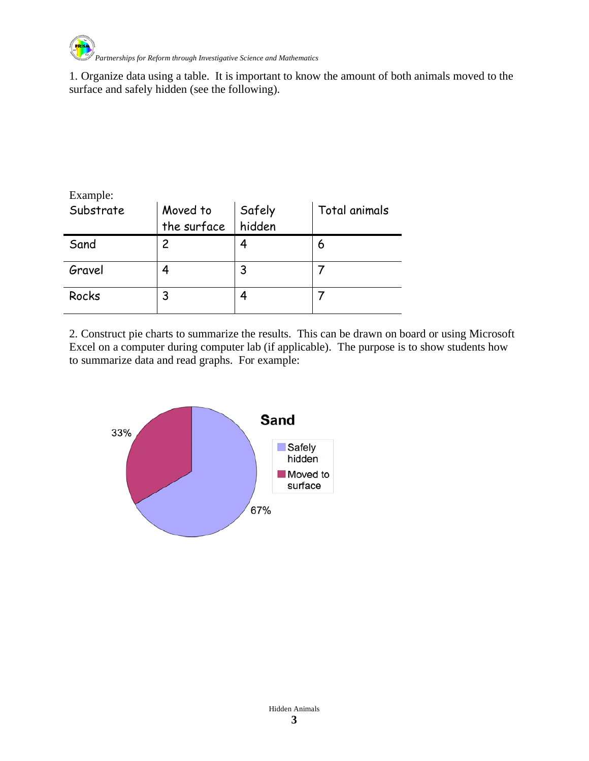

1. Organize data using a table. It is important to know the amount of both animals moved to the surface and safely hidden (see the following).

| Example:  |                         |                  |               |  |
|-----------|-------------------------|------------------|---------------|--|
| Substrate | Moved to<br>the surface | Safely<br>hidden | Total animals |  |
| Sand      | 2                       |                  | 6             |  |
| Gravel    | 4                       |                  |               |  |
| Rocks     | 3                       |                  |               |  |

2. Construct pie charts to summarize the results. This can be drawn on board or using Microsoft Excel on a computer during computer lab (if applicable). The purpose is to show students how to summarize data and read graphs. For example:

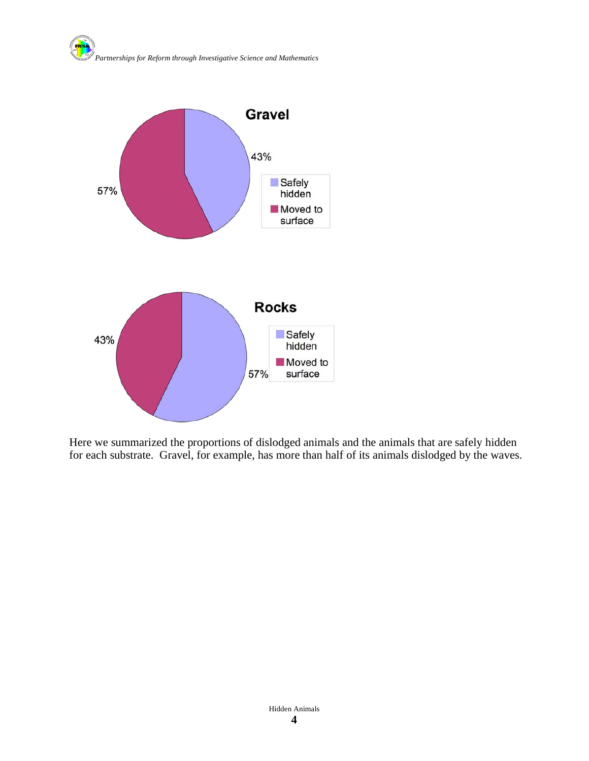



Here we summarized the proportions of dislodged animals and the animals that are safely hidden for each substrate. Gravel, for example, has more than half of its animals dislodged by the waves.